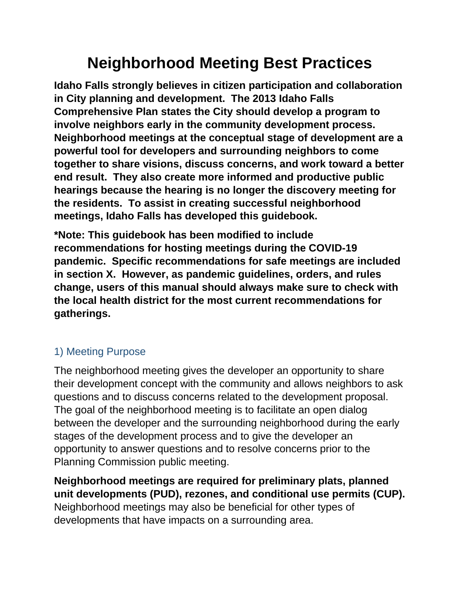# **Neighborhood Meeting Best Practices**

**Idaho Falls strongly believes in citizen participation and collaboration in City planning and development. The 2013 Idaho Falls Comprehensive Plan states the City should develop a program to involve neighbors early in the community development process. Neighborhood meetings at the conceptual stage of development are a powerful tool for developers and surrounding neighbors to come together to share visions, discuss concerns, and work toward a better end result. They also create more informed and productive public hearings because the hearing is no longer the discovery meeting for the residents. To assist in creating successful neighborhood meetings, Idaho Falls has developed this guidebook.**

**\*Note: This guidebook has been modified to include recommendations for hosting meetings during the COVID-19 pandemic. Specific recommendations for safe meetings are included in section X. However, as pandemic guidelines, orders, and rules change, users of this manual should always make sure to check with the local health district for the most current recommendations for gatherings.** 

### 1) Meeting Purpose

The neighborhood meeting gives the developer an opportunity to share their development concept with the community and allows neighbors to ask questions and to discuss concerns related to the development proposal. The goal of the neighborhood meeting is to facilitate an open dialog between the developer and the surrounding neighborhood during the early stages of the development process and to give the developer an opportunity to answer questions and to resolve concerns prior to the Planning Commission public meeting.

**Neighborhood meetings are required for preliminary plats, planned unit developments (PUD), rezones, and conditional use permits (CUP).** Neighborhood meetings may also be beneficial for other types of developments that have impacts on a surrounding area.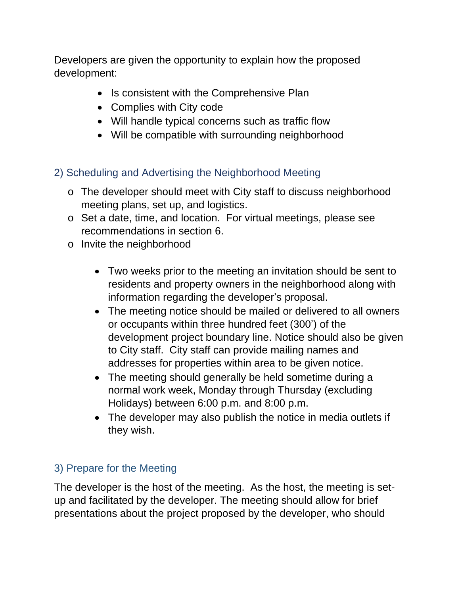Developers are given the opportunity to explain how the proposed development:

- Is consistent with the Comprehensive Plan
- Complies with City code
- Will handle typical concerns such as traffic flow
- Will be compatible with surrounding neighborhood

## 2) Scheduling and Advertising the Neighborhood Meeting

- o The developer should meet with City staff to discuss neighborhood meeting plans, set up, and logistics.
- o Set a date, time, and location. For virtual meetings, please see recommendations in section 6.
- o Invite the neighborhood
	- Two weeks prior to the meeting an invitation should be sent to residents and property owners in the neighborhood along with information regarding the developer's proposal.
	- The meeting notice should be mailed or delivered to all owners or occupants within three hundred feet (300') of the development project boundary line. Notice should also be given to City staff. City staff can provide mailing names and addresses for properties within area to be given notice.
	- The meeting should generally be held sometime during a normal work week, Monday through Thursday (excluding Holidays) between 6:00 p.m. and 8:00 p.m.
	- The developer may also publish the notice in media outlets if they wish.

# 3) Prepare for the Meeting

The developer is the host of the meeting. As the host, the meeting is setup and facilitated by the developer. The meeting should allow for brief presentations about the project proposed by the developer, who should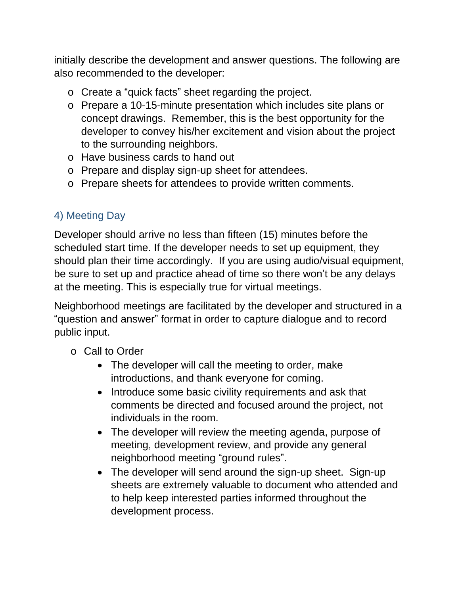initially describe the development and answer questions. The following are also recommended to the developer:

- o Create a "quick facts" sheet regarding the project.
- o Prepare a 10-15-minute presentation which includes site plans or concept drawings. Remember, this is the best opportunity for the developer to convey his/her excitement and vision about the project to the surrounding neighbors.
- o Have business cards to hand out
- o Prepare and display sign-up sheet for attendees.
- o Prepare sheets for attendees to provide written comments.

# 4) Meeting Day

Developer should arrive no less than fifteen (15) minutes before the scheduled start time. If the developer needs to set up equipment, they should plan their time accordingly. If you are using audio/visual equipment, be sure to set up and practice ahead of time so there won't be any delays at the meeting. This is especially true for virtual meetings.

Neighborhood meetings are facilitated by the developer and structured in a "question and answer" format in order to capture dialogue and to record public input.

- o Call to Order
	- The developer will call the meeting to order, make introductions, and thank everyone for coming.
	- Introduce some basic civility requirements and ask that comments be directed and focused around the project, not individuals in the room.
	- The developer will review the meeting agenda, purpose of meeting, development review, and provide any general neighborhood meeting "ground rules".
	- The developer will send around the sign-up sheet. Sign-up sheets are extremely valuable to document who attended and to help keep interested parties informed throughout the development process.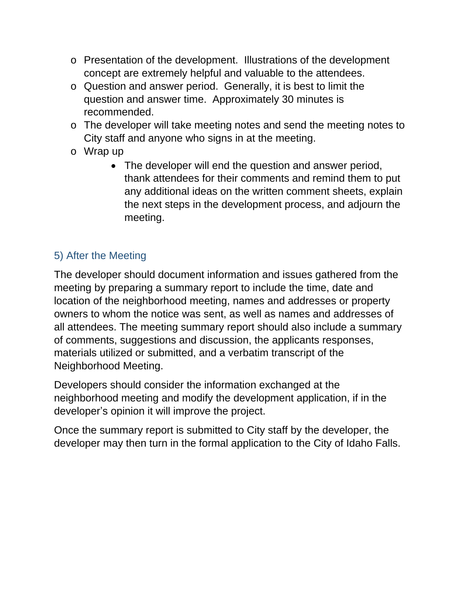- o Presentation of the development. Illustrations of the development concept are extremely helpful and valuable to the attendees.
- o Question and answer period. Generally, it is best to limit the question and answer time. Approximately 30 minutes is recommended.
- o The developer will take meeting notes and send the meeting notes to City staff and anyone who signs in at the meeting.
- o Wrap up
	- The developer will end the question and answer period, thank attendees for their comments and remind them to put any additional ideas on the written comment sheets, explain the next steps in the development process, and adjourn the meeting.

# 5) After the Meeting

The developer should document information and issues gathered from the meeting by preparing a summary report to include the time, date and location of the neighborhood meeting, names and addresses or property owners to whom the notice was sent, as well as names and addresses of all attendees. The meeting summary report should also include a summary of comments, suggestions and discussion, the applicants responses, materials utilized or submitted, and a verbatim transcript of the Neighborhood Meeting.

Developers should consider the information exchanged at the neighborhood meeting and modify the development application, if in the developer's opinion it will improve the project.

Once the summary report is submitted to City staff by the developer, the developer may then turn in the formal application to the City of Idaho Falls.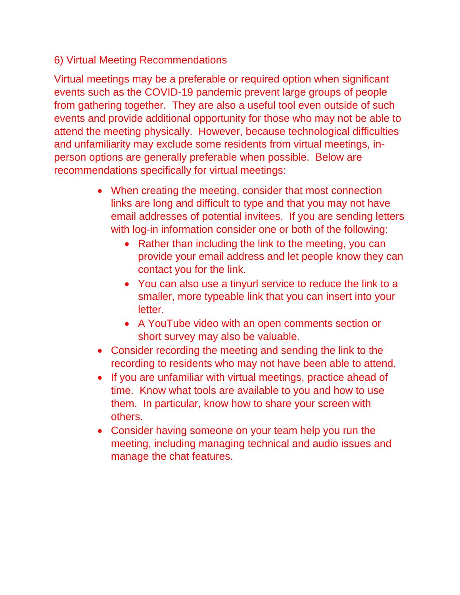#### 6) Virtual Meeting Recommendations

Virtual meetings may be a preferable or required option when significant events such as the COVID-19 pandemic prevent large groups of people from gathering together. They are also a useful tool even outside of such events and provide additional opportunity for those who may not be able to attend the meeting physically. However, because technological difficulties and unfamiliarity may exclude some residents from virtual meetings, inperson options are generally preferable when possible. Below are recommendations specifically for virtual meetings:

- When creating the meeting, consider that most connection links are long and difficult to type and that you may not have email addresses of potential invitees. If you are sending letters with log-in information consider one or both of the following:
	- Rather than including the link to the meeting, you can provide your email address and let people know they can contact you for the link.
	- You can also use a tinyurl service to reduce the link to a smaller, more typeable link that you can insert into your letter.
	- A YouTube video with an open comments section or short survey may also be valuable.
- Consider recording the meeting and sending the link to the recording to residents who may not have been able to attend.
- If you are unfamiliar with virtual meetings, practice ahead of time. Know what tools are available to you and how to use them. In particular, know how to share your screen with others.
- Consider having someone on your team help you run the meeting, including managing technical and audio issues and manage the chat features.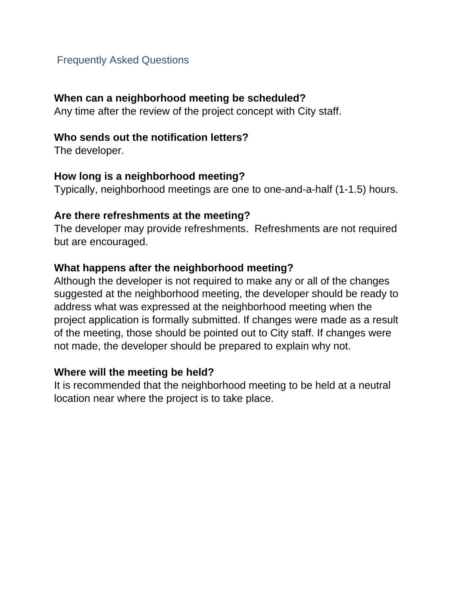#### Frequently Asked Questions

#### **When can a neighborhood meeting be scheduled?**

Any time after the review of the project concept with City staff.

#### **Who sends out the notification letters?**

The developer.

#### **How long is a neighborhood meeting?**

Typically, neighborhood meetings are one to one-and-a-half (1-1.5) hours.

#### **Are there refreshments at the meeting?**

The developer may provide refreshments. Refreshments are not required but are encouraged.

#### **What happens after the neighborhood meeting?**

Although the developer is not required to make any or all of the changes suggested at the neighborhood meeting, the developer should be ready to address what was expressed at the neighborhood meeting when the project application is formally submitted. If changes were made as a result of the meeting, those should be pointed out to City staff. If changes were not made, the developer should be prepared to explain why not.

#### **Where will the meeting be held?**

It is recommended that the neighborhood meeting to be held at a neutral location near where the project is to take place.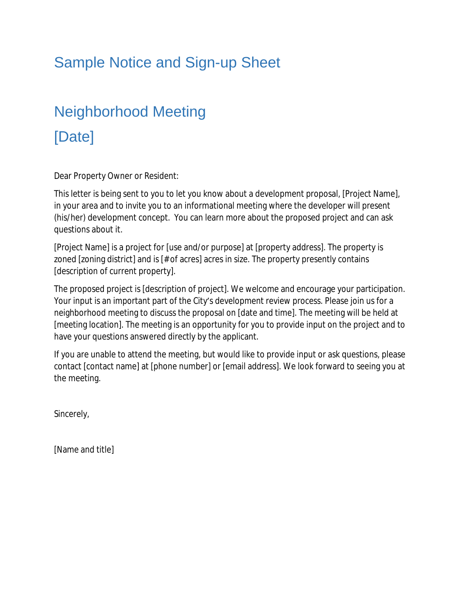# Sample Notice and Sign-up Sheet

# Neighborhood Meeting [Date]

Dear Property Owner or Resident:

This letter is being sent to you to let you know about a development proposal, [Project Name], in your area and to invite you to an informational meeting where the developer will present (his/her) development concept. You can learn more about the proposed project and can ask questions about it.

[Project Name] is a project for [use and/or purpose] at [property address]. The property is zoned [zoning district] and is [# of acres] acres in size. The property presently contains [description of current property].

The proposed project is [description of project]. We welcome and encourage your participation. Your input is an important part of the City's development review process. Please join us for a neighborhood meeting to discuss the proposal on [date and time]. The meeting will be held at [meeting location]. The meeting is an opportunity for you to provide input on the project and to have your questions answered directly by the applicant.

If you are unable to attend the meeting, but would like to provide input or ask questions, please contact [contact name] at [phone number] or [email address]. We look forward to seeing you at the meeting.

Sincerely,

[Name and title]